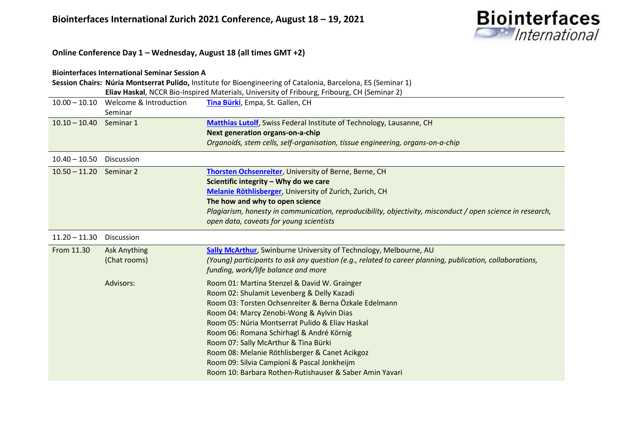

**Online Conference Day 1 – Wednesday, August 18 (all times GMT +2)**

### **Biointerfaces International Seminar Session A Session Chairs: Núria Montserrat Pulido,** Institute for Bioengineering of Catalonia, Barcelona, ES (Seminar 1) **Eliav Haskal**, NCCR Bio-Inspired Materials, University of Fribourg, Fribourg, CH (Seminar 2) 10.00 – 10.10 Welcome & Introduction Seminar **[Tina Bürki](https://www.empa.ch/web/s403/particlesbarrier)**, Empa, St. Gallen, CH 10.10 – 10.40 Seminar 1 **[Matthias Lutolf](https://www.epfl.ch/labs/lutolf-lab/)**, Swiss Federal Institute of Technology, Lausanne, CH **Next generation organs-on-a-chip** *Organoids, stem cells, self-organisation, tissue engineering, organs-on-a-chip* 10.40 – 10.50 Discussion 10.50 – 11.20 Seminar 2 **[Thorsten Ochsenreiter](https://www.ochsenreiter-lab.net/)**, University of Berne, Berne, CH **Scientific integrity – Why do we care [Melanie Röthlisberger](http://melanie-roethlisberger.ch/)**, University of Zurich, Zurich, CH **The how and why to open science** *Plagiarism, honesty in communication, reproducibility, objectivity, misconduct / open science in research, open data, caveats for young scientists* 11.20 – 11.30 Discussion From 11.30 Ask Anything (Chat rooms) Advisors: **[Sally McArthur](https://www.swinburne.edu.au/research-institutes/manufacturing-futures/people/sally-mcarthur/)**, Swinburne University of Technology, Melbourne, AU *(Young) participants to ask any question (e.g., related to career planning, publication, collaborations, funding, work/life balance and more* Room 01: Martina Stenzel & David W. Grainger Room 02: Shulamit Levenberg & Delly Kazadi Room 03: Torsten Ochsenreiter & Berna Özkale Edelmann Room 04: Marcy Zenobi-Wong & Aylvin Dias Room 05: Núria Montserrat Pulido & Eliav Haskal Room 06: Romana Schirhagl & André Körnig Room 07: Sally McArthur & Tina Bürki Room 08: Melanie Röthlisberger & Canet Acikgoz Room 09: Silvia Campioni & Pascal Jonkheijm Room 10: Barbara Rothen-Rutishauser & Saber Amin Yavari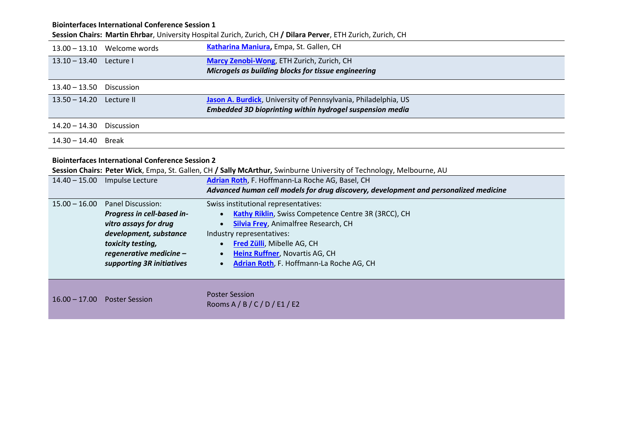## **Biointerfaces International Conference Session 1**

**Session Chairs: Martin Ehrbar**, University Hospital Zurich, Zurich, CH **/ Dilara Perver**, ETH Zurich, Zurich, CH

| $13.00 - 13.10$ | Welcome words                                           | Katharina Maniura, Empa, St. Gallen, CH                                                                              |
|-----------------|---------------------------------------------------------|----------------------------------------------------------------------------------------------------------------------|
| $13.10 - 13.40$ | Lecture I                                               | Marcy Zenobi-Wong, ETH Zurich, Zurich, CH                                                                            |
|                 |                                                         | Microgels as building blocks for tissue engineering                                                                  |
|                 |                                                         |                                                                                                                      |
| $13.40 - 13.50$ | <b>Discussion</b>                                       |                                                                                                                      |
| $13.50 - 14.20$ | Lecture II                                              | Jason A. Burdick, University of Pennsylvania, Philadelphia, US                                                       |
|                 |                                                         | Embedded 3D bioprinting within hydrogel suspension media                                                             |
| $14.20 - 14.30$ | <b>Discussion</b>                                       |                                                                                                                      |
| $14.30 - 14.40$ | Break                                                   |                                                                                                                      |
|                 | <b>Biointerfaces International Conference Session 2</b> |                                                                                                                      |
|                 |                                                         |                                                                                                                      |
|                 |                                                         | Session Chairs: Peter Wick, Empa, St. Gallen, CH / Sally McArthur, Swinburne University of Technology, Melbourne, AU |
|                 | 14.40 - 15.00 Impulse Lecture                           | Adrian Roth, F. Hoffmann-La Roche AG, Basel, CH                                                                      |
|                 |                                                         | Advanced human cell models for drug discovery, development and personalized medicine                                 |
| $15.00 - 16.00$ | Panel Discussion:                                       | Swiss institutional representatives:                                                                                 |
|                 | Progress in cell-based in-                              | Kathy Riklin, Swiss Competence Centre 3R (3RCC), CH                                                                  |
|                 | vitro assays for drug                                   | <b>Silvia Frey, Animalfree Research, CH</b>                                                                          |
|                 | development, substance                                  | Industry representatives:                                                                                            |
|                 | toxicity testing,                                       | Fred Zülli, Mibelle AG, CH                                                                                           |
|                 | regenerative medicine -                                 | <b>Heinz Ruffner, Novartis AG, CH</b><br>$\bullet$                                                                   |
|                 | supporting 3R initiatives                               | Adrian Roth, F. Hoffmann-La Roche AG, CH<br>$\bullet$                                                                |
|                 |                                                         |                                                                                                                      |

16.00 – 17.00 Poster Session Poster Session

Rooms A / B / C / D / E1 / E2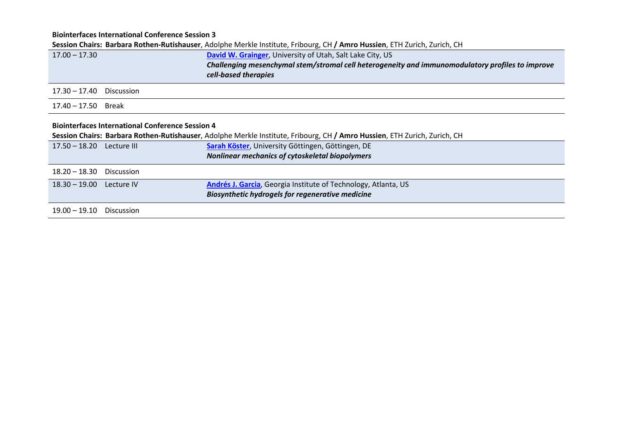**Biointerfaces International Conference Session 3**

|                              |                                                         | Session Chairs: Barbara Rothen-Rutishauser, Adolphe Merkle Institute, Fribourg, CH / Amro Hussien, ETH Zurich, Zurich, CH |
|------------------------------|---------------------------------------------------------|---------------------------------------------------------------------------------------------------------------------------|
| $17.00 - 17.30$              |                                                         | David W. Grainger, University of Utah, Salt Lake City, US                                                                 |
|                              |                                                         | Challenging mesenchymal stem/stromal cell heterogeneity and immunomodulatory profiles to improve                          |
|                              |                                                         | cell-based therapies                                                                                                      |
| 17.30 – 17.40                | Discussion                                              |                                                                                                                           |
| $17.40 - 17.50$ Break        |                                                         |                                                                                                                           |
|                              | <b>Biointerfaces International Conference Session 4</b> |                                                                                                                           |
|                              |                                                         | Session Chairs: Barbara Rothen-Rutishauser, Adolphe Merkle Institute, Fribourg, CH / Amro Hussien, ETH Zurich, Zurich, CH |
| 17.50 - 18.20    Lecture III |                                                         | Sarah Köster, University Göttingen, Göttingen, DE                                                                         |
|                              |                                                         | Nonlinear mechanics of cytoskeletal biopolymers                                                                           |
| $18.20 - 18.30$              | <b>Discussion</b>                                       |                                                                                                                           |
| 18.30 - 19.00 Lecture IV     |                                                         | Andrés J. Garcia, Georgia Institute of Technology, Atlanta, US                                                            |
|                              |                                                         | <b>Biosynthetic hydrogels for regenerative medicine</b>                                                                   |
| $19.00 - 19.10$              | <b>Discussion</b>                                       |                                                                                                                           |
|                              |                                                         |                                                                                                                           |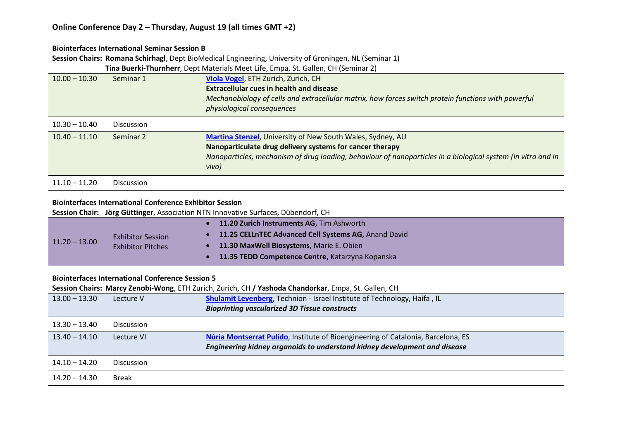#### **Biointerfaces International Seminar Session B**

**Session Chairs: Romana Schirhagl**, Dept BioMedical Engineering, University of Groningen, NL (Seminar 1)

**Tina Buerki-Thurnherr**, Dept Materials Meet Life, Empa, St. Gallen, CH (Seminar 2)

| $10.00 - 10.30$ | Seminar 1         | Viola Vogel, ETH Zurich, Zurich, CH                                                                          |
|-----------------|-------------------|--------------------------------------------------------------------------------------------------------------|
|                 |                   | <b>Extracellular cues in health and disease</b>                                                              |
|                 |                   | Mechanobiology of cells and extracellular matrix, how forces switch protein functions with powerful          |
|                 |                   | physiological consequences                                                                                   |
| $10.30 - 10.40$ | <b>Discussion</b> |                                                                                                              |
| $10.40 - 11.10$ | Seminar 2         | Martina Stenzel, University of New South Wales, Sydney, AU                                                   |
|                 |                   | Nanoparticulate drug delivery systems for cancer therapy                                                     |
|                 |                   | Nanoparticles, mechanism of drug loading, behaviour of nanoparticles in a biological system (in vitro and in |
|                 |                   | vivo)                                                                                                        |
| $11.10 - 11.20$ | <b>Discussion</b> |                                                                                                              |

#### **Biointerfaces International Conference Exhibitor Session**

**Session Chair: Jörg Güttinger**, Association NTN Innovative Surfaces, Dübendorf, CH

|                 |                                                      | 11.20 Zurich Instruments AG, Tim Ashworth            |
|-----------------|------------------------------------------------------|------------------------------------------------------|
| $11.20 - 13.00$ | <b>Exhibitor Session</b><br><b>Exhibitor Pitches</b> | 11.25 CELLnTEC Advanced Cell Systems AG, Anand David |
|                 |                                                      | 11.30 MaxWell Biosystems, Marie E. Obien             |
|                 |                                                      | 11.35 TEDD Competence Centre, Katarzyna Kopanska     |

#### **Biointerfaces International Conference Session 5**

**Session Chairs: Marcy Zenobi-Wong**, ETH Zurich, Zurich, CH **/ Yashoda Chandorkar**, Empa, St. Gallen, CH

| $13.00 - 13.30$ | Lecture V         | Shulamit Levenberg, Technion - Israel Institute of Technology, Haifa, IL<br><b>Bioprinting vascularized 3D Tissue constructs</b>                              |
|-----------------|-------------------|---------------------------------------------------------------------------------------------------------------------------------------------------------------|
| $13.30 - 13.40$ | <b>Discussion</b> |                                                                                                                                                               |
| $13.40 - 14.10$ | Lecture VI        | Núria Montserrat Pulido, Institute of Bioengineering of Catalonia, Barcelona, ES<br>Engineering kidney organoids to understand kidney development and disease |
| $14.10 - 14.20$ | <b>Discussion</b> |                                                                                                                                                               |
| 14.20 – 14.30   | <b>Break</b>      |                                                                                                                                                               |